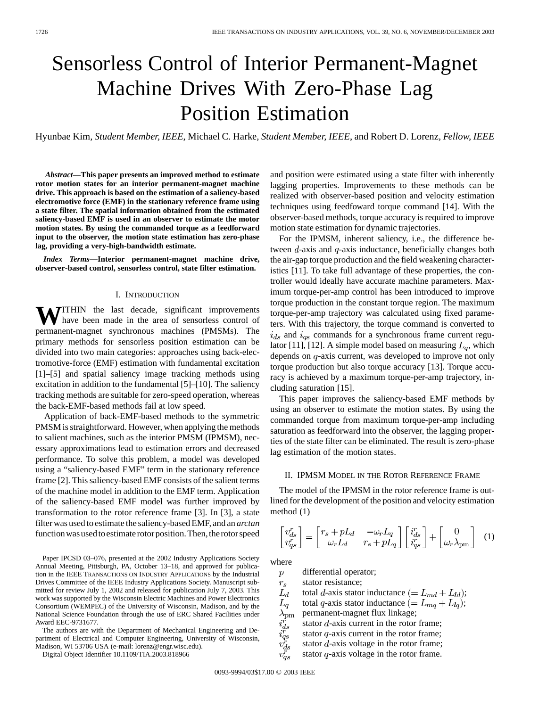# Sensorless Control of Interior Permanent-Magnet Machine Drives With Zero-Phase Lag Position Estimation

Hyunbae Kim*, Student Member, IEEE*, Michael C. Harke*, Student Member, IEEE*, and Robert D. Lorenz*, Fellow, IEEE*

*Abstract—***This paper presents an improved method to estimate rotor motion states for an interior permanent-magnet machine drive. This approach is based on the estimation of a saliency-based electromotive force (EMF) in the stationary reference frame using a state filter. The spatial information obtained from the estimated saliency-based EMF is used in an observer to estimate the motor motion states. By using the commanded torque as a feedforward input to the observer, the motion state estimation has zero-phase lag, providing a very-high-bandwidth estimate.**

*Index Terms—***Interior permanent-magnet machine drive, observer-based control, sensorless control, state filter estimation.**

#### I. INTRODUCTION

WITHIN the last decade, significant improvements have been made in the area of sensorless control of permanent-magnet synchronous machines (PMSMs). The primary methods for sensorless position estimation can be divided into two main categories: approaches using back-electromotive-force (EMF) estimation with fundamental excitation [1]–[5] and spatial saliency image tracking methods using excitation in addition to the fundamental [5]–[10]. The saliency tracking methods are suitable for zero-speed operation, whereas the back-EMF-based methods fail at low speed.

Application of back-EMF-based methods to the symmetric PMSM is straightforward. However, when applying the methods to salient machines, such as the interior PMSM (IPMSM), necessary approximations lead to estimation errors and decreased performance. To solve this problem, a model was developed using a "saliency-based EMF" term in the stationary reference frame [2]. This saliency-based EMF consists of the salient terms of the machine model in addition to the EMF term. Application of the saliency-based EMF model was further improved by transformation to the rotor reference frame [3]. In [3], a state filter was used to estimate the saliency-based EMF, and an *arctan* function was used to estimate rotor position. Then, the rotor speed

Paper IPCSD 03–076, presented at the 2002 Industry Applications Society Annual Meeting, Pittsburgh, PA, October 13–18, and approved for publication in the IEEE TRANSACTIONS ON INDUSTRY APPLICATIONS by the Industrial Drives Committee of the IEEE Industry Applications Society. Manuscript submitted for review July 1, 2002 and released for publication July 7, 2003. This work was supported by the Wisconsin Electric Machines and Power Electronics Consortium (WEMPEC) of the University of Wisconsin, Madison, and by the National Science Foundation through the use of ERC Shared Facilities under Award EEC-9731677.

The authors are with the Department of Mechanical Engineering and Department of Electrical and Computer Engineering, University of Wisconsin, Madison, WI 53706 USA (e-mail: lorenz@engr.wisc.edu).

Digital Object Identifier 10.1109/TIA.2003.818966

and position were estimated using a state filter with inherently lagging properties. Improvements to these methods can be realized with observer-based position and velocity estimation techniques using feedfoward torque command [14]. With the observer-based methods, torque accuracy is required to improve motion state estimation for dynamic trajectories.

For the IPMSM, inherent saliency, i.e., the difference between  $d$ -axis and  $q$ -axis inductance, beneficially changes both the air-gap torque production and the field weakening characteristics [11]. To take full advantage of these properties, the controller would ideally have accurate machine parameters. Maximum torque-per-amp control has been introduced to improve torque production in the constant torque region. The maximum torque-per-amp trajectory was calculated using fixed parameters. With this trajectory, the torque command is converted to  $i_{ds}$  and  $i_{qs}$  commands for a synchronous frame current regulator [11], [12]. A simple model based on measuring  $L_q$ , which depends on  $q$ -axis current, was developed to improve not only torque production but also torque accuracy [13]. Torque accuracy is achieved by a maximum torque-per-amp trajectory, including saturation [15].

This paper improves the saliency-based EMF methods by using an observer to estimate the motion states. By using the commanded torque from maximum torque-per-amp including saturation as feedforward into the observer, the lagging properties of the state filter can be eliminated. The result is zero-phase lag estimation of the motion states.

### II. IPMSM MODEL IN THE ROTOR REFERENCE FRAME

The model of the IPMSM in the rotor reference frame is outlined for the development of the position and velocity estimation method (1)

$$
\begin{bmatrix} v_{ds}^r \\ v_{qs}^r \end{bmatrix} = \begin{bmatrix} r_s + pL_d & -\omega_r L_q \\ \omega_r L_d & r_s + pL_q \end{bmatrix} \begin{bmatrix} i_{ds}^r \\ i_{qs}^r \end{bmatrix} + \begin{bmatrix} 0 \\ \omega_r \lambda_{\text{pm}} \end{bmatrix}
$$
 (1)

where  $\overline{p}$ 

differential operator;

stator resistance;  $r_s\,$ 

 $L_d$ total *d*-axis stator inductance  $(= L_{md} + L_{ld});$  $L_q\,$ total q-axis stator inductance  $(= L_{mq} + L_{lq});$  $\lambda_\text{pm}^{i} \ i_{ds}^{r} \ i_{qs}^{r} \ v_{ds}^{r} \ v_{qs}^{r}$ permanent-magnet flux linkage; stator  $d$ -axis current in the rotor frame; stator  $q$ -axis current in the rotor frame; stator  $d$ -axis voltage in the rotor frame;

stator  $q$ -axis voltage in the rotor frame.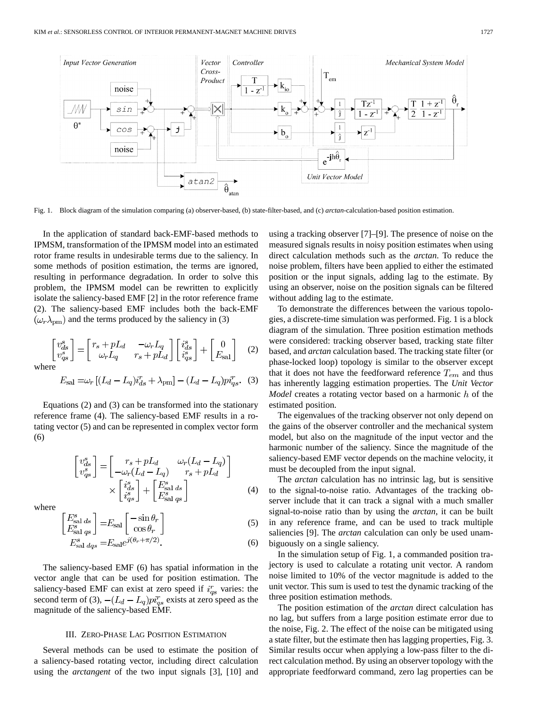

Fig. 1. Block diagram of the simulation comparing (a) observer-based, (b) state-filter-based, and (c) *arctan*-calculation-based position estimation.

In the application of standard back-EMF-based methods to IPMSM, transformation of the IPMSM model into an estimated rotor frame results in undesirable terms due to the saliency. In some methods of position estimation, the terms are ignored, resulting in performance degradation. In order to solve this problem, the IPMSM model can be rewritten to explicitly isolate the saliency-based EMF [2] in the rotor reference frame (2). The saliency-based EMF includes both the back-EMF  $(\omega_r \lambda_{\rm pm})$  and the terms produced by the saliency in (3)

$$
\begin{bmatrix} v_{ds}^s \\ v_{qs}^s \end{bmatrix} = \begin{bmatrix} r_s + pL_d & -\omega_r L_q \\ \omega_r L_q & r_s + pL_d \end{bmatrix} \begin{bmatrix} i_{ds}^s \\ i_{qs}^s \end{bmatrix} + \begin{bmatrix} 0 \\ E_{\text{sal}} \end{bmatrix}
$$
 (2)

where

$$
E_{\rm sal} = \omega_r \left[ (L_d - L_q) i_{ds}^r + \lambda_{\rm pm} \right] - (L_d - L_q) p i_{qs}^r. \tag{3}
$$

Equations (2) and (3) can be transformed into the stationary reference frame (4). The saliency-based EMF results in a rotating vector (5) and can be represented in complex vector form (6)

$$
\begin{bmatrix} v_{ds}^{s} \\ v_{qs}^{s} \end{bmatrix} = \begin{bmatrix} r_s + pL_d & \omega_r (L_d - L_q) \\ -\omega_r (L_d - L_q) & r_s + pL_d \end{bmatrix}
$$

$$
\times \begin{bmatrix} i_{ds}^{s} \\ i_{qs}^{s} \end{bmatrix} + \begin{bmatrix} E_{\text{sal}}^{s} \\ E_{\text{sal}}^{s} \\ E_{\text{sal}}^{s} \end{bmatrix} (4)
$$

where

$$
\begin{bmatrix} E_{\rm sal}^{s} \, ds \\ E_{\rm sal}^{s} \, ds \end{bmatrix} = E_{\rm sal} \begin{bmatrix} -\sin \theta_{r} \\ \cos \theta_{r} \end{bmatrix}
$$
\n
$$
E_{\rm sal}^{s} \, dg_{s} = E_{\rm sal} e^{j(\theta_{r} + \pi/2)}.
$$
\n(5)

The saliency-based EMF (6) has spatial information in the vector angle that can be used for position estimation. The saliency-based EMF can exist at zero speed if  $i_{qs}^r$  varies: the second term of (3),  $-(L_d - L_q)p i_{qs}^r$  exists at zero speed as the magnitude of the saliency-based EMF.

## III. ZERO-PHASE LAG POSITION ESTIMATION

Several methods can be used to estimate the position of a saliency-based rotating vector, including direct calculation using the *arctangent* of the two input signals [3], [10] and using a tracking observer [7]–[9]. The presence of noise on the measured signals results in noisy position estimates when using direct calculation methods such as the *arctan*. To reduce the noise problem, filters have been applied to either the estimated position or the input signals, adding lag to the estimate. By using an observer, noise on the position signals can be filtered without adding lag to the estimate.

To demonstrate the differences between the various topologies, a discrete-time simulation was performed. Fig. 1 is a block diagram of the simulation. Three position estimation methods were considered: tracking observer based, tracking state filter based, and *arctan* calculation based. The tracking state filter (or phase-locked loop) topology is similar to the observer except that it does not have the feedforward reference  $T_{em}$  and thus has inherently lagging estimation properties. The *Unit Vector Model* creates a rotating vector based on a harmonic h of the estimated position.

The eigenvalues of the tracking observer not only depend on the gains of the observer controller and the mechanical system model, but also on the magnitude of the input vector and the harmonic number of the saliency. Since the magnitude of the saliency-based EMF vector depends on the machine velocity, it must be decoupled from the input signal.

The *arctan* calculation has no intrinsic lag, but is sensitive to the signal-to-noise ratio. Advantages of the tracking observer include that it can track a signal with a much smaller signal-to-noise ratio than by using the *arctan*, it can be built in any reference frame, and can be used to track multiple saliencies [9]. The *arctan* calculation can only be used unambiguously on a single saliency.

In the simulation setup of Fig. 1, a commanded position trajectory is used to calculate a rotating unit vector. A random noise limited to 10% of the vector magnitude is added to the unit vector. This sum is used to test the dynamic tracking of the three position estimation methods.

The position estimation of the *arctan* direct calculation has no lag, but suffers from a large position estimate error due to the noise, Fig. 2. The effect of the noise can be mitigated using a state filter, but the estimate then has lagging properties, Fig. 3. Similar results occur when applying a low-pass filter to the direct calculation method. By using an observer topology with the appropriate feedforward command, zero lag properties can be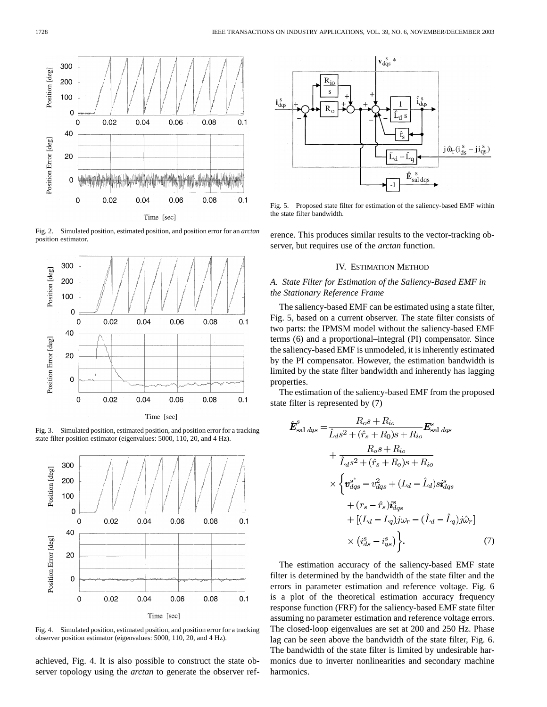

Fig. 2. Simulated position, estimated position, and position error for an *arctan* position estimator.



Fig. 3. Simulated position, estimated position, and position error for a tracking state filter position estimator (eigenvalues: 5000, 110, 20, and 4 Hz).



Fig. 4. Simulated position, estimated position, and position error for a tracking observer position estimator (eigenvalues: 5000, 110, 20, and 4 Hz).

achieved, Fig. 4. It is also possible to construct the state observer topology using the *arctan* to generate the observer ref-



Fig. 5. Proposed state filter for estimation of the saliency-based EMF within the state filter bandwidth.

erence. This produces similar results to the vector-tracking observer, but requires use of the *arctan* function.

## IV. ESTIMATION METHOD

## *A. State Filter for Estimation of the Saliency-Based EMF in the Stationary Reference Frame*

The saliency-based EMF can be estimated using a state filter, Fig. 5, based on a current observer. The state filter consists of two parts: the IPMSM model without the saliency-based EMF terms (6) and a proportional–integral (PI) compensator. Since the saliency-based EMF is unmodeled, it is inherently estimated by the PI compensator. However, the estimation bandwidth is limited by the state filter bandwidth and inherently has lagging properties.

The estimation of the saliency-based EMF from the proposed state filter is represented by (7)

$$
\hat{E}_{\text{sal dqs}}^{s} = \frac{R_{o}s + R_{io}}{\hat{L}_{d}s^{2} + (\hat{r}_{s} + R_{0})s + R_{io}} E_{\text{sal dqs}}^{s}
$$
\n
$$
+ \frac{R_{o}s + R_{io}}{\hat{L}_{d}s^{2} + (\hat{r}_{s} + R_{o})s + R_{io}}
$$
\n
$$
\times \left\{ \mathbf{v}_{dqs}^{s^{*}} - v_{dqs}^{2} + (L_{d} - \hat{L}_{d})s\mathbf{i}_{dqs}^{s}
$$
\n
$$
+ (r_{s} - \hat{r}_{s})\mathbf{i}_{dqs}^{s}
$$
\n
$$
+ [(L_{d} - L_{q})j\omega_{r} - (\hat{L}_{d} - \hat{L}_{q})j\hat{\omega}_{r}]
$$
\n
$$
\times (i_{ds}^{s} - i_{qs}^{s}) \right\}.
$$
\n(7)

The estimation accuracy of the saliency-based EMF state filter is determined by the bandwidth of the state filter and the errors in parameter estimation and reference voltage. Fig. 6 is a plot of the theoretical estimation accuracy frequency response function (FRF) for the saliency-based EMF state filter assuming no parameter estimation and reference voltage errors. The closed-loop eigenvalues are set at 200 and 250 Hz. Phase lag can be seen above the bandwidth of the state filter, Fig. 6. The bandwidth of the state filter is limited by undesirable harmonics due to inverter nonlinearities and secondary machine harmonics.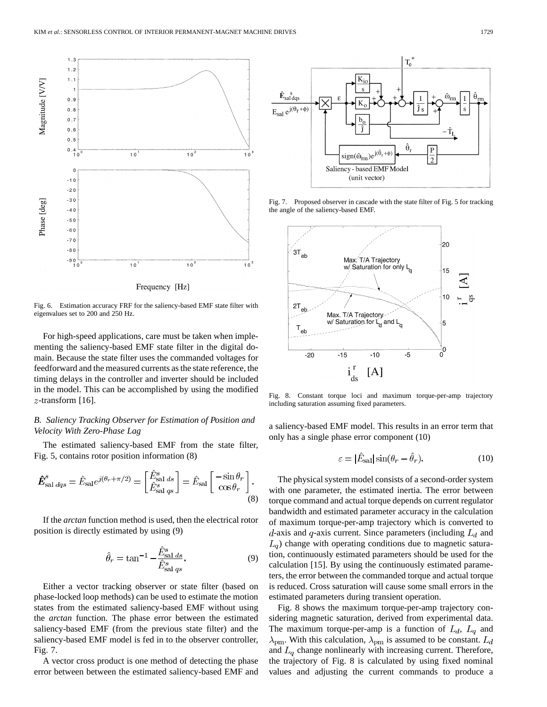

Fig. 6. Estimation accuracy FRF for the saliency-based EMF state filter with eigenvalues set to 200 and 250 Hz.

For high-speed applications, care must be taken when implementing the saliency-based EMF state filter in the digital domain. Because the state filter uses the commanded voltages for feedforward and the measured currents as the state reference, the timing delays in the controller and inverter should be included in the model. This can be accomplished by using the modified  $z$ -transform [16].

## *B. Saliency Tracking Observer for Estimation of Position and Velocity With Zero-Phase Lag*

The estimated saliency-based EMF from the state filter, Fig. 5, contains rotor position information (8)

$$
\hat{E}_{\text{sal dqs}}^{s} = \hat{E}_{\text{sal}} e^{j(\theta_r + \pi/2)} = \begin{bmatrix} \hat{E}_{\text{sal d}s}^{s} \\ \hat{E}_{\text{sal g}s}^{s} \end{bmatrix} = \hat{E}_{\text{sal}} \begin{bmatrix} -\sin \theta_r \\ \cos \theta_r \end{bmatrix} . \tag{8}
$$

If the *arctan* function method is used, then the electrical rotor position is directly estimated by using (9)

$$
\hat{\theta}_r = \tan^{-1} - \frac{\hat{E}_{\text{sal}}^s}{\hat{E}_{\text{sal}}^s \, ds}.\tag{9}
$$

Either a vector tracking observer or state filter (based on phase-locked loop methods) can be used to estimate the motion states from the estimated saliency-based EMF without using the *arctan* function. The phase error between the estimated saliency-based EMF (from the previous state filter) and the saliency-based EMF model is fed in to the observer controller, Fig. 7.

A vector cross product is one method of detecting the phase error between between the estimated saliency-based EMF and



Fig. 7. Proposed observer in cascade with the state filter of Fig. 5 for tracking the angle of the saliency-based EMF.



Fig. 8. Constant torque loci and maximum torque-per-amp trajectory including saturation assuming fixed parameters.

a saliency-based EMF model. This results in an error term that only has a single phase error component (10)

$$
\varepsilon = |\hat{E}_{\text{sal}}| \sin(\theta_r - \hat{\theta}_r). \tag{10}
$$

The physical system model consists of a second-order system with one parameter, the estimated inertia. The error between torque command and actual torque depends on current regulator bandwidth and estimated parameter accuracy in the calculation of maximum torque-per-amp trajectory which is converted to d-axis and  $q$ -axis current. Since parameters (including  $L_d$  and  $L_q$ ) change with operating conditions due to magnetic saturation, continuously estimated parameters should be used for the calculation [15]. By using the continuously estimated parameters, the error between the commanded torque and actual torque is reduced. Cross saturation will cause some small errors in the estimated parameters during transient operation.

Fig. 8 shows the maximum torque-per-amp trajectory considering magnetic saturation, derived from experimental data. The maximum torque-per-amp is a function of  $L_d$ ,  $L_q$  and  $\lambda_{\text{pm}}$ . With this calculation,  $\lambda_{\text{pm}}$  is assumed to be constant.  $L_d$ and  $L_q$  change nonlinearly with increasing current. Therefore, the trajectory of Fig. 8 is calculated by using fixed nominal values and adjusting the current commands to produce a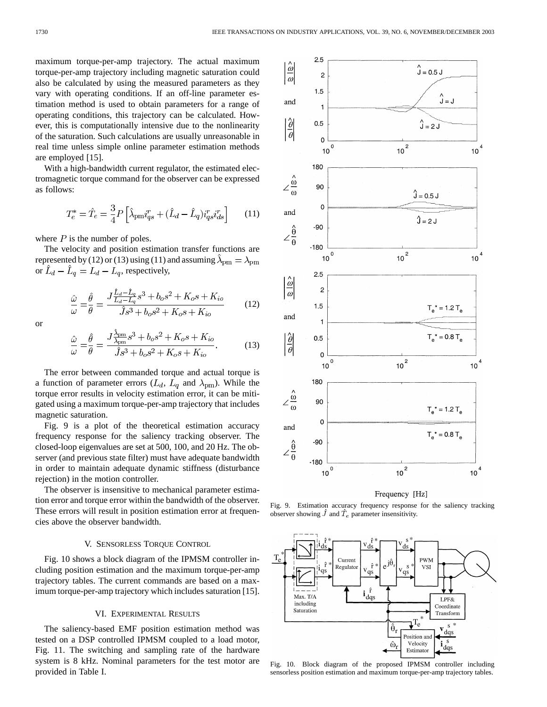maximum torque-per-amp trajectory. The actual maximum torque-per-amp trajectory including magnetic saturation could also be calculated by using the measured parameters as they vary with operating conditions. If an off-line parameter estimation method is used to obtain parameters for a range of operating conditions, this trajectory can be calculated. However, this is computationally intensive due to the nonlinearity of the saturation. Such calculations are usually unreasonable in real time unless simple online parameter estimation methods are employed [15].

With a high-bandwidth current regulator, the estimated electromagnetic torque command for the observer can be expressed as follows:

$$
T_e^* = \hat{T}_e = \frac{3}{4} P \left[ \hat{\lambda}_{pm} i_{qs}^r + (\hat{L}_d - \hat{L}_q) i_{qs}^r i_{ds}^r \right] \tag{11}
$$

where  $P$  is the number of poles.

The velocity and position estimation transfer functions are represented by (12) or (13) using (11) and assuming  $\lambda_{pm} = \lambda_{pm}$ or  $\hat{L}_d - \hat{L}_q = L_d - L_q$ , respectively,

$$
\frac{\hat{\omega}}{\omega} = \frac{\hat{\theta}}{\theta} = \frac{J \frac{\hat{L}_d - \hat{L}_q}{L_d - L_q} s^3 + b_o s^2 + K_o s + K_{io}}{\hat{J} s^3 + b_o s^2 + K_o s + K_{io}}
$$
(12)

or

$$
\frac{\hat{\omega}}{\omega} = \frac{\hat{\theta}}{\theta} = \frac{J\frac{\lambda_{\rm pm}}{\lambda_{\rm pm}}s^3 + b_o s^2 + K_o s + K_{io}}{\hat{J}s^3 + b_o s^2 + K_o s + K_{io}}.
$$
\n(13)

The error between commanded torque and actual torque is a function of parameter errors  $(L_d, L_q$  and  $\lambda_{pm}$ ). While the torque error results in velocity estimation error, it can be mitigated using a maximum torque-per-amp trajectory that includes magnetic saturation.

Fig. 9 is a plot of the theoretical estimation accuracy frequency response for the saliency tracking observer. The closed-loop eigenvalues are set at 500, 100, and 20 Hz. The observer (and previous state filter) must have adequate bandwidth in order to maintain adequate dynamic stiffness (disturbance rejection) in the motion controller.

The observer is insensitive to mechanical parameter estimation error and torque error within the bandwidth of the observer. These errors will result in position estimation error at frequencies above the observer bandwidth.

## V. SENSORLESS TORQUE CONTROL

Fig. 10 shows a block diagram of the IPMSM controller including position estimation and the maximum torque-per-amp trajectory tables. The current commands are based on a maximum torque-per-amp trajectory which includes saturation [15].

#### VI. EXPERIMENTAL RESULTS

The saliency-based EMF position estimation method was tested on a DSP controlled IPMSM coupled to a load motor, Fig. 11. The switching and sampling rate of the hardware system is 8 kHz. Nominal parameters for the test motor are provided in Table I.



Fig. 9. Estimation accuracy frequency response for the saliency tracking Frequency [Hz]<br>Fig. 9. Estimation accuracy frequency response for<br>observer showing  $\hat{J}$  and  $\hat{T}_e$  parameter insensitivity.



Fig. 10. Block diagram of the proposed IPMSM controller including sensorless position estimation and maximum torque-per-amp trajectory tables.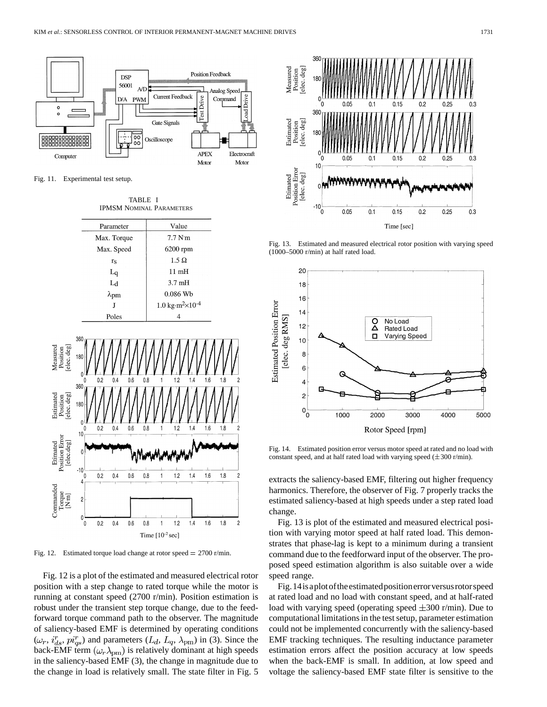

Fig. 11. Experimental test setup.

TABLE I IPMSM NOMINAL PARAMETERS

| Parameter    | Value                                            |
|--------------|--------------------------------------------------|
| Max. Torque  | $7.7$ N $m$                                      |
| Max. Speed   | $6200$ rpm                                       |
| ľs           | $1.5 \Omega$                                     |
| $L_q$        | $11 \text{ mH}$                                  |
| Ld           | $3.7 \text{ mH}$                                 |
| $\lambda$ pm | 0.086 Wb                                         |
| T            | $1.0 \text{ kg} \cdot \text{m}^2 \times 10^{-4}$ |
| Poles        |                                                  |



Fig. 12. Estimated torque load change at rotor speed <sup>=</sup> 2700 r/min.

Fig. 12 is a plot of the estimated and measured electrical rotor position with a step change to rated torque while the motor is running at constant speed (2700 r/min). Position estimation is robust under the transient step torque change, due to the feedforward torque command path to the observer. The magnitude of saliency-based EMF is determined by operating conditions  $(\omega_r, i_{ds}^r, p_{qs}^r)$  and parameters  $(L_d, L_q, \lambda_{pm})$  in (3). Since the back-EMF term  $(\omega_r \lambda_{\text{pm}})$  is relatively dominant at high speeds in the saliency-based EMF (3), the change in magnitude due to the change in load is relatively small. The state filter in Fig. 5



Fig. 13. Estimated and measured electrical rotor position with varying speed (1000–5000 r/min) at half rated load.



Fig. 14. Estimated position error versus motor speed at rated and no load with constant speed, and at half rated load with varying speed  $(\pm 300 \text{ r/min})$ .

extracts the saliency-based EMF, filtering out higher frequency harmonics. Therefore, the observer of Fig. 7 properly tracks the estimated saliency-based at high speeds under a step rated load change.

Fig. 13 is plot of the estimated and measured electrical position with varying motor speed at half rated load. This demonstrates that phase-lag is kept to a minimum during a transient command due to the feedforward input of the observer. The proposed speed estimation algorithm is also suitable over a wide speed range.

Fig.14isaplotoftheestimatedpositionerrorversusrotorspeed at rated load and no load with constant speed, and at half-rated load with varying speed (operating speed  $\pm 300$  r/min). Due to computational limitations in the test setup, parameter estimation could not be implemented concurrently with the saliency-based EMF tracking techniques. The resulting inductance parameter estimation errors affect the position accuracy at low speeds when the back-EMF is small. In addition, at low speed and voltage the saliency-based EMF state filter is sensitive to the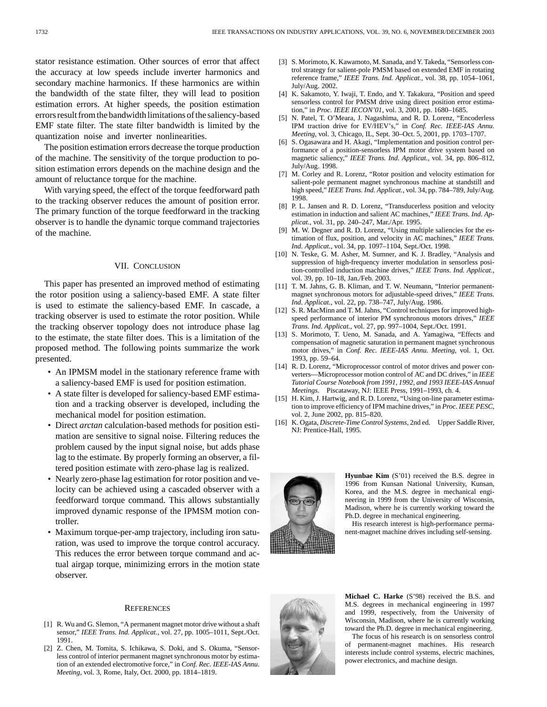stator resistance estimation. Other sources of error that affect the accuracy at low speeds include inverter harmonics and secondary machine harmonics. If these harmonics are within the bandwidth of the state filter, they will lead to position estimation errors. At higher speeds, the position estimation errors result from the bandwidth limitations of the saliency-based EMF state filter. The state filter bandwidth is limited by the quantization noise and inverter nonlinearities.

The position estimation errors decrease the torque production of the machine. The sensitivity of the torque production to position estimation errors depends on the machine design and the amount of reluctance torque for the machine.

With varying speed, the effect of the torque feedforward path to the tracking observer reduces the amount of position error. The primary function of the torque feedforward in the tracking observer is to handle the dynamic torque command trajectories of the machine.

## VII. CONCLUSION

This paper has presented an improved method of estimating the rotor position using a saliency-based EMF. A state filter is used to estimate the saliency-based EMF. In cascade, a tracking observer is used to estimate the rotor position. While the tracking observer topology does not introduce phase lag to the estimate, the state filter does. This is a limitation of the proposed method. The following points summarize the work presented.

- An IPMSM model in the stationary reference frame with a saliency-based EMF is used for position estimation.
- A state filter is developed for saliency-based EMF estimation and a tracking observer is developed, including the mechanical model for position estimation.
- Direct *arctan* calculation-based methods for position estimation are sensitive to signal noise. Filtering reduces the problem caused by the input signal noise, but adds phase lag to the estimate. By properly forming an observer, a filtered position estimate with zero-phase lag is realized.
- Nearly zero-phase lag estimation for rotor position and velocity can be achieved using a cascaded observer with a feedforward torque command. This allows substantially improved dynamic response of the IPMSM motion controller.
- Maximum torque-per-amp trajectory, including iron saturation, was used to improve the torque control accuracy. This reduces the error between torque command and actual airgap torque, minimizing errors in the motion state observer.

#### **REFERENCES**

- [1] R. Wu and G. Slemon, "A permanent magnet motor drive without a shaft sensor," *IEEE Trans. Ind. Applicat.*, vol. 27, pp. 1005–1011, Sept./Oct. 1991.
- [2] Z. Chen, M. Tomita, S. Ichikawa, S. Doki, and S. Okuma, "Sensorless control of interior permanent magnet synchronous motor by estimation of an extended electromotive force," in *Conf. Rec. IEEE-IAS Annu. Meeting*, vol. 3, Rome, Italy, Oct. 2000, pp. 1814–1819.
- [3] S. Morimoto, K. Kawamoto, M. Sanada, and Y. Takeda, "Sensorless control strategy for salient-pole PMSM based on extended EMF in rotating reference frame," *IEEE Trans. Ind. Applicat.*, vol. 38, pp. 1054–1061, July/Aug. 2002.
- [4] K. Sakamoto, Y. Iwaji, T. Endo, and Y. Takakura, "Position and speed sensorless control for PMSM drive using direct position error estimation," in *Proc. IEEE IECON'01*, vol. 3, 2001, pp. 1680–1685.
- [5] N. Patel, T. O'Meara, J. Nagashima, and R. D. Lorenz, "Encoderless IPM traction drive for EV/HEV's," in *Conf. Rec. IEEE-IAS Annu. Meeting*, vol. 3, Chicago, IL, Sept. 30–Oct. 5, 2001, pp. 1703–1707.
- [6] S. Ogasawara and H. Akagi, "Implementation and position control performance of a position-sensorless IPM motor drive system based on magnetic saliency," *IEEE Trans. Ind. Applicat.*, vol. 34, pp. 806–812, July/Aug. 1998.
- [7] M. Corley and R. Lorenz, "Rotor position and velocity estimation for salient-pole permanent magnet synchronous machine at standstill and high speed," *IEEE Trans. Ind. Applicat.*, vol. 34, pp. 784–789, July/Aug. 1998.
- [8] P. L. Jansen and R. D. Lorenz, "Transducerless position and velocity estimation in induction and salient AC machines," *IEEE Trans. Ind. Applicat.*, vol. 31, pp. 240–247, Mar./Apr. 1995.
- [9] M. W. Degner and R. D. Lorenz, "Using multiple saliencies for the estimation of flux, position, and velocity in AC machines," *IEEE Trans. Ind. Applicat.*, vol. 34, pp. 1097–1104, Sept./Oct. 1998.
- [10] N. Teske, G. M. Asher, M. Sumner, and K. J. Bradley, "Analysis and suppression of high-frequency inverter modulation in sensorless position-controlled induction machine drives," *IEEE Trans. Ind. Applicat.*, vol. 39, pp. 10–18, Jan./Feb. 2003.
- [11] T. M. Jahns, G. B. Kliman, and T. W. Neumann, "Interior permanentmagnet synchronous motors for adjustable-speed drives," *IEEE Trans. Ind. Applicat.*, vol. 22, pp. 738–747, July/Aug. 1986.
- [12] S. R. MacMinn and T. M. Jahns, "Control techniques for improved highspeed performance of interior PM synchronous motors drives," *IEEE Trans. Ind. Applicat.*, vol. 27, pp. 997–1004, Sept./Oct. 1991.
- [13] S. Morimoto, T. Ueno, M. Sanada, and A. Yamagiwa, "Effects and compensation of magnetic saturation in permanent magnet synchronous motor drives," in *Conf. Rec. IEEE-IAS Annu. Meeting*, vol. 1, Oct. 1993, pp. 59–64.
- [14] R. D. Lorenz, "Microprocessor control of motor drives and power converters—Microprocessor motion control of AC and DC drives," in *IEEE Tutorial Course Notebook from 1991, 1992, and 1993 IEEE-IAS Annual Meetings*. Piscataway, NJ: IEEE Press, 1991–1993, ch. 4.
- [15] H. Kim, J. Hartwig, and R. D. Lorenz, "Using on-line parameter estimation to improve efficiency of IPM machine drives," in *Proc. IEEE PESC*, vol. 2, June 2002, pp. 815–820.
- [16] K. Ogata, *Discrete-Time Control Systems*, 2nd ed. Upper Saddle River, NJ: Prentice-Hall, 1995.



**Hyunbae Kim** (S'01) received the B.S. degree in 1996 from Kunsan National University, Kunsan, Korea, and the M.S. degree in mechanical engineering in 1999 from the University of Wisconsin, Madison, where he is currently working toward the Ph.D. degree in mechanical engineering.

His research interest is high-performance permanent-magnet machine drives including self-sensing.



**Michael C. Harke** (S'98) received the B.S. and M.S. degrees in mechanical engineering in 1997 and 1999, respectively, from the University of Wisconsin, Madison, where he is currently working toward the Ph.D. degree in mechanical engineering.

The focus of his research is on sensorless control of permanent-magnet machines. His research interests include control systems, electric machines, power electronics, and machine design.